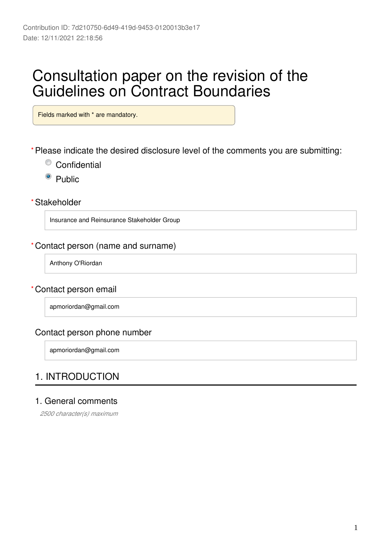# Consultation paper on the revision of the Guidelines on Contract Boundaries

Fields marked with \* are mandatory.

Please indicate the desired disclosure level of the comments you are submitting: **\***

- Confidential
- <sup>o</sup> Public

Stakeholder **\***

Insurance and Reinsurance Stakeholder Group

#### Contact person (name and surname) **\***

Anthony O'Riordan

#### Contact person email **\***

apmoriordan@gmail.com

### Contact person phone number

apmoriordan@gmail.com

### 1. INTRODUCTION

### 1. General comments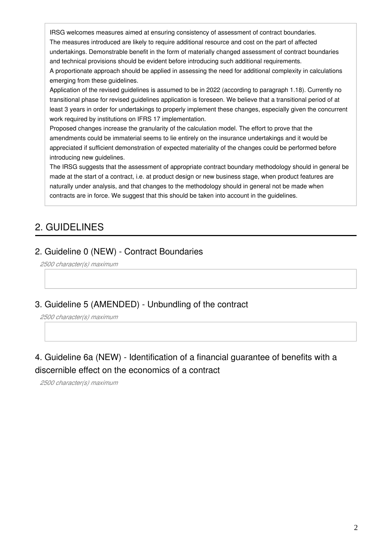IRSG welcomes measures aimed at ensuring consistency of assessment of contract boundaries. The measures introduced are likely to require additional resource and cost on the part of affected undertakings. Demonstrable benefit in the form of materially changed assessment of contract boundaries and technical provisions should be evident before introducing such additional requirements.

A proportionate approach should be applied in assessing the need for additional complexity in calculations emerging from these guidelines.

Application of the revised guidelines is assumed to be in 2022 (according to paragraph 1.18). Currently no transitional phase for revised guidelines application is foreseen. We believe that a transitional period of at least 3 years in order for undertakings to properly implement these changes, especially given the concurrent work required by institutions on IFRS 17 implementation.

Proposed changes increase the granularity of the calculation model. The effort to prove that the amendments could be immaterial seems to lie entirely on the insurance undertakings and it would be appreciated if sufficient demonstration of expected materiality of the changes could be performed before introducing new guidelines.

The IRSG suggests that the assessment of appropriate contract boundary methodology should in general be made at the start of a contract, i.e. at product design or new business stage, when product features are naturally under analysis, and that changes to the methodology should in general not be made when contracts are in force. We suggest that this should be taken into account in the guidelines.

# 2. GUIDELINES

### 2. Guideline 0 (NEW) - Contract Boundaries

*2500 character(s) maximum*

### 3. Guideline 5 (AMENDED) - Unbundling of the contract

*2500 character(s) maximum*

### 4. Guideline 6a (NEW) - Identification of a financial guarantee of benefits with a discernible effect on the economics of a contract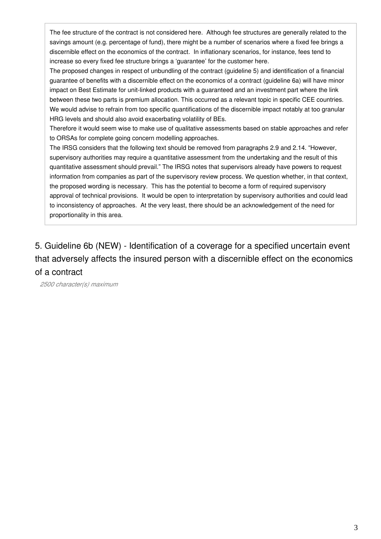The fee structure of the contract is not considered here. Although fee structures are generally related to the savings amount (e.g. percentage of fund), there might be a number of scenarios where a fixed fee brings a discernible effect on the economics of the contract. In inflationary scenarios, for instance, fees tend to increase so every fixed fee structure brings a 'guarantee' for the customer here.

The proposed changes in respect of unbundling of the contract (guideline 5) and identification of a financial guarantee of benefits with a discernible effect on the economics of a contract (guideline 6a) will have minor impact on Best Estimate for unit-linked products with a guaranteed and an investment part where the link between these two parts is premium allocation. This occurred as a relevant topic in specific CEE countries. We would advise to refrain from too specific quantifications of the discernible impact notably at too granular HRG levels and should also avoid exacerbating volatility of BEs.

Therefore it would seem wise to make use of qualitative assessments based on stable approaches and refer to ORSAs for complete going concern modelling approaches.

The IRSG considers that the following text should be removed from paragraphs 2.9 and 2.14. "However, supervisory authorities may require a quantitative assessment from the undertaking and the result of this quantitative assessment should prevail." The IRSG notes that supervisors already have powers to request information from companies as part of the supervisory review process. We question whether, in that context, the proposed wording is necessary. This has the potential to become a form of required supervisory approval of technical provisions. It would be open to interpretation by supervisory authorities and could lead to inconsistency of approaches. At the very least, there should be an acknowledgement of the need for proportionality in this area.

5. Guideline 6b (NEW) - Identification of a coverage for a specified uncertain event that adversely affects the insured person with a discernible effect on the economics of a contract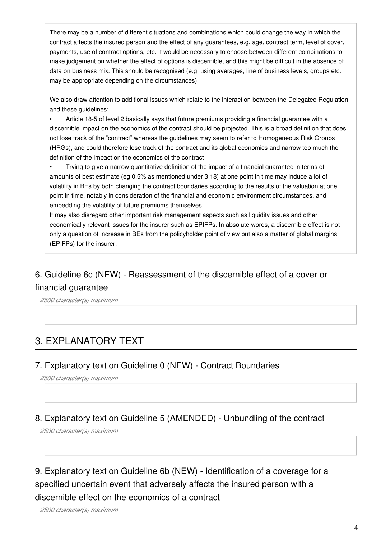There may be a number of different situations and combinations which could change the way in which the contract affects the insured person and the effect of any guarantees, e.g. age, contract term, level of cover, payments, use of contract options, etc. It would be necessary to choose between different combinations to make judgement on whether the effect of options is discernible, and this might be difficult in the absence of data on business mix. This should be recognised (e.g. using averages, line of business levels, groups etc. may be appropriate depending on the circumstances).

We also draw attention to additional issues which relate to the interaction between the Delegated Regulation and these quidelines:

• Article 18-5 of level 2 basically says that future premiums providing a financial guarantee with a discernible impact on the economics of the contract should be projected. This is a broad definition that does not lose track of the "contract" whereas the guidelines may seem to refer to Homogeneous Risk Groups (HRGs), and could therefore lose track of the contract and its global economics and narrow too much the definition of the impact on the economics of the contract

• Trying to give a narrow quantitative definition of the impact of a financial guarantee in terms of amounts of best estimate (eg 0.5% as mentioned under 3.18) at one point in time may induce a lot of volatility in BEs by both changing the contract boundaries according to the results of the valuation at one point in time, notably in consideration of the financial and economic environment circumstances, and embedding the volatility of future premiums themselves.

It may also disregard other important risk management aspects such as liquidity issues and other economically relevant issues for the insurer such as EPIFPs. In absolute words, a discernible effect is not only a question of increase in BEs from the policyholder point of view but also a matter of global margins (EPIFPs) for the insurer.

### 6. Guideline 6c (NEW) - Reassessment of the discernible effect of a cover or financial guarantee

*2500 character(s) maximum*

# 3. EXPLANATORY TEXT

### 7. Explanatory text on Guideline 0 (NEW) - Contract Boundaries

*2500 character(s) maximum*

### 8. Explanatory text on Guideline 5 (AMENDED) - Unbundling of the contract

*2500 character(s) maximum*

9. Explanatory text on Guideline 6b (NEW) - Identification of a coverage for a specified uncertain event that adversely affects the insured person with a discernible effect on the economics of a contract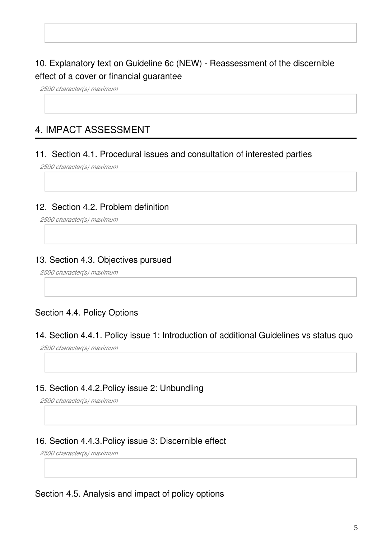### 10. Explanatory text on Guideline 6c (NEW) - Reassessment of the discernible effect of a cover or financial guarantee

*2500 character(s) maximum*

### 4. IMPACT ASSESSMENT

#### 11. Section 4.1. Procedural issues and consultation of interested parties

*2500 character(s) maximum*

### 12. Section 4.2. Problem definition

*2500 character(s) maximum*

### 13. Section 4.3. Objectives pursued

*2500 character(s) maximum*

### Section 4.4. Policy Options

#### 14. Section 4.4.1. Policy issue 1: Introduction of additional Guidelines vs status quo

*2500 character(s) maximum*

### 15. Section 4.4.2.Policy issue 2: Unbundling

*2500 character(s) maximum*

### 16. Section 4.4.3.Policy issue 3: Discernible effect

*2500 character(s) maximum*

#### Section 4.5. Analysis and impact of policy options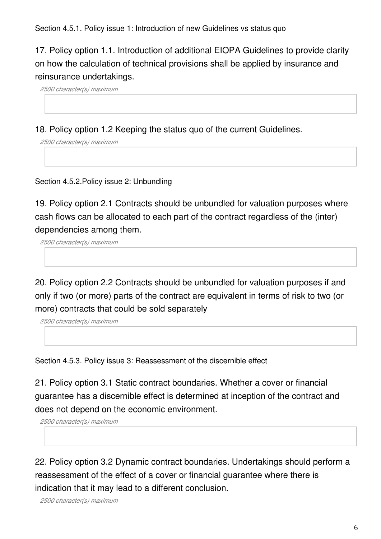Section 4.5.1. Policy issue 1: Introduction of new Guidelines vs status quo

17. Policy option 1.1. Introduction of additional EIOPA Guidelines to provide clarity on how the calculation of technical provisions shall be applied by insurance and reinsurance undertakings.

*2500 character(s) maximum*

18. Policy option 1.2 Keeping the status quo of the current Guidelines.

*2500 character(s) maximum*

Section 4.5.2.Policy issue 2: Unbundling

19. Policy option 2.1 Contracts should be unbundled for valuation purposes where cash flows can be allocated to each part of the contract regardless of the (inter) dependencies among them.

*2500 character(s) maximum*

20. Policy option 2.2 Contracts should be unbundled for valuation purposes if and only if two (or more) parts of the contract are equivalent in terms of risk to two (or more) contracts that could be sold separately

*2500 character(s) maximum*

Section 4.5.3. Policy issue 3: Reassessment of the discernible effect

21. Policy option 3.1 Static contract boundaries. Whether a cover or financial guarantee has a discernible effect is determined at inception of the contract and does not depend on the economic environment.

*2500 character(s) maximum*

22. Policy option 3.2 Dynamic contract boundaries. Undertakings should perform a reassessment of the effect of a cover or financial guarantee where there is indication that it may lead to a different conclusion.